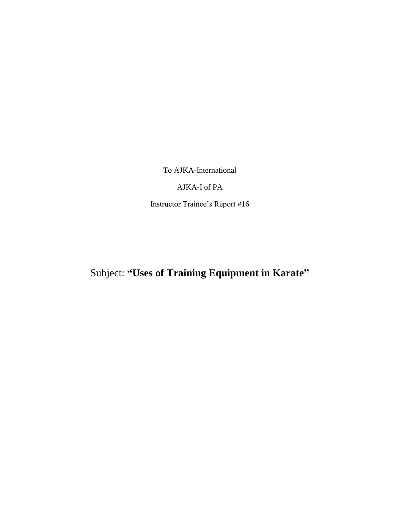To AJKA-International

AJKA-I of PA

Instructor Trainee's Report #16

Subject: **"Uses of Training Equipment in Karate"**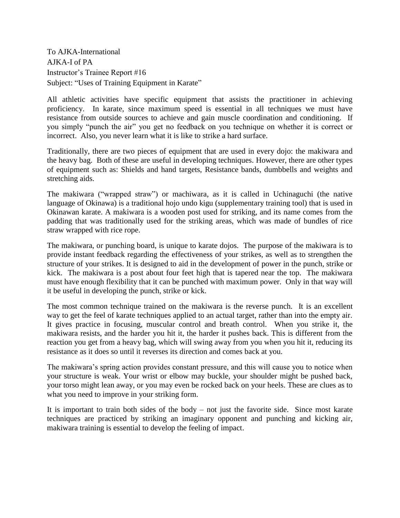To AJKA-International AJKA-I of PA Instructor's Trainee Report #16 Subject: "Uses of Training Equipment in Karate"

All athletic activities have specific equipment that assists the practitioner in achieving proficiency. In karate, since maximum speed is essential in all techniques we must have resistance from outside sources to achieve and gain muscle coordination and conditioning. If you simply "punch the air" you get no feedback on you technique on whether it is correct or incorrect. Also, you never learn what it is like to strike a hard surface.

Traditionally, there are two pieces of equipment that are used in every dojo: the makiwara and the heavy bag. Both of these are useful in developing techniques. However, there are other types of equipment such as: Shields and hand targets, Resistance bands, dumbbells and weights and stretching aids.

The makiwara ("wrapped straw") or machiwara, as it is called in Uchinaguchi (the native language of Okinawa) is a traditional hojo undo kigu (supplementary training tool) that is used in Okinawan karate. A makiwara is a wooden post used for striking, and its name comes from the padding that was traditionally used for the striking areas, which was made of bundles of rice straw wrapped with rice rope.

The makiwara, or punching board, is unique to karate dojos. The purpose of the makiwara is to provide instant feedback regarding the effectiveness of your strikes, as well as to strengthen the structure of your strikes. It is designed to aid in the development of power in the punch, strike or kick. The makiwara is a post about four feet high that is tapered near the top. The makiwara must have enough flexibility that it can be punched with maximum power. Only in that way will it be useful in developing the punch, strike or kick.

The most common technique trained on the makiwara is the reverse punch. It is an excellent way to get the feel of karate techniques applied to an actual target, rather than into the empty air. It gives practice in focusing, muscular control and breath control. When you strike it, the makiwara resists, and the harder you hit it, the harder it pushes back. This is different from the reaction you get from a heavy bag, which will swing away from you when you hit it, reducing its resistance as it does so until it reverses its direction and comes back at you.

The makiwara's spring action provides constant pressure, and this will cause you to notice when your structure is weak. Your wrist or elbow may buckle, your shoulder might be pushed back, your torso might lean away, or you may even be rocked back on your heels. These are clues as to what you need to improve in your striking form.

It is important to train both sides of the body – not just the favorite side. Since most karate techniques are practiced by striking an imaginary opponent and punching and kicking air, makiwara training is essential to develop the feeling of impact.